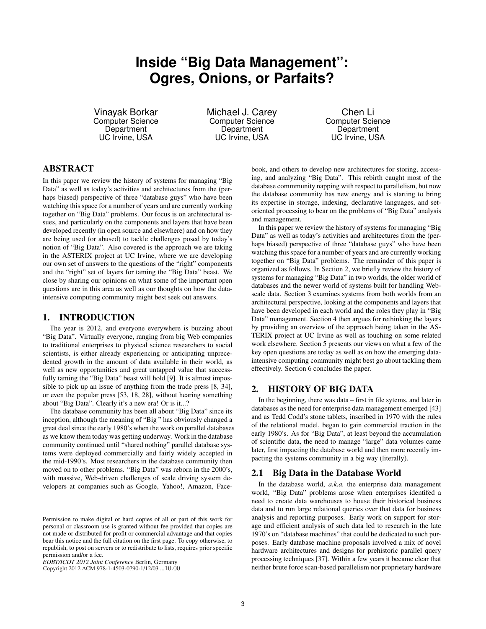# **Inside "Big Data Management": Ogres, Onions, or Parfaits?**

Vinayak Borkar Computer Science Department UC Irvine, USA

Michael J. Carey Computer Science Department UC Irvine, USA

Chen Li Computer Science **Department** UC Irvine, USA

# ABSTRACT

In this paper we review the history of systems for managing "Big Data" as well as today's activities and architectures from the (perhaps biased) perspective of three "database guys" who have been watching this space for a number of years and are currently working together on "Big Data" problems. Our focus is on architectural issues, and particularly on the components and layers that have been developed recently (in open source and elsewhere) and on how they are being used (or abused) to tackle challenges posed by today's notion of "Big Data". Also covered is the approach we are taking in the ASTERIX project at UC Irvine, where we are developing our own set of answers to the questions of the "right" components and the "right" set of layers for taming the "Big Data" beast. We close by sharing our opinions on what some of the important open questions are in this area as well as our thoughts on how the dataintensive computing community might best seek out answers.

#### 1. INTRODUCTION

The year is 2012, and everyone everywhere is buzzing about "Big Data". Virtually everyone, ranging from big Web companies to traditional enterprises to physical science researchers to social scientists, is either already experiencing or anticipating unprecedented growth in the amount of data available in their world, as well as new opportunities and great untapped value that successfully taming the "Big Data" beast will hold [9]. It is almost impossible to pick up an issue of anything from the trade press [8, 34], or even the popular press [53, 18, 28], without hearing something about "Big Data". Clearly it's a new era! Or is it...?

The database community has been all about "Big Data" since its inception, although the meaning of "Big " has obviously changed a great deal since the early 1980's when the work on parallel databases as we know them today was getting underway. Work in the database community continued until "shared nothing" parallel database systems were deployed commercially and fairly widely accepted in the mid-1990's. Most researchers in the database community then moved on to other problems. "Big Data" was reborn in the 2000's, with massive, Web-driven challenges of scale driving system developers at companies such as Google, Yahoo!, Amazon, Face-

*EDBT/ICDT 2012 Joint Conference* Berlin, Germany

book, and others to develop new architectures for storing, accessing, and analyzing "Big Data". This rebirth caught most of the database commmunity napping with respect to parallelism, but now the database community has new energy and is starting to bring its expertise in storage, indexing, declarative languages, and setoriented processing to bear on the problems of "Big Data" analysis and management.

In this paper we review the history of systems for managing "Big Data" as well as today's activities and architectures from the (perhaps biased) perspective of three "database guys" who have been watching this space for a number of years and are currently working together on "Big Data" problems. The remainder of this paper is organized as follows. In Section 2, we briefly review the history of systems for managing "Big Data" in two worlds, the older world of databases and the newer world of systems built for handling Webscale data. Section 3 examines systems from both worlds from an architectural perspective, looking at the components and layers that have been developed in each world and the roles they play in "Big Data" management. Section 4 then argues for rethinking the layers by providing an overview of the approach being taken in the AS-TERIX project at UC Irvine as well as touching on some related work elsewhere. Section 5 presents our views on what a few of the key open questions are today as well as on how the emerging dataintensive computing community might best go about tackling them effectively. Section 6 concludes the paper.

# 2. HISTORY OF BIG DATA

In the beginning, there was data – first in file sytems, and later in databases as the need for enterprise data management emerged [43] and as Tedd Codd's stone tablets, inscribed in 1970 with the rules of the relational model, began to gain commercial traction in the early 1980's. As for "Big Data", at least beyond the accumulation of scientific data, the need to manage "large" data volumes came later, first impacting the database world and then more recently impacting the systems community in a big way (literally).

#### 2.1 Big Data in the Database World

In the database world, *a.k.a.* the enterprise data management world, "Big Data" problems arose when enterprises identifed a need to create data warehouses to house their historical business data and to run large relational queries over that data for business analysis and reporting purposes. Early work on support for storage and efficient analysis of such data led to research in the late 1970's on "database machines" that could be dedicated to such purposes. Early database machine proposals involved a mix of novel hardware architectures and designs for prehistoric parallel query processing techniques [37]. Within a few years it became clear that neither brute force scan-based parallelism nor proprietary hardware

Permission to make digital or hard copies of all or part of this work for personal or classroom use is granted without fee provided that copies are not made or distributed for profit or commercial advantage and that copies bear this notice and the full citation on the first page. To copy otherwise, to republish, to post on servers or to redistribute to lists, requires prior specific permission and/or a fee.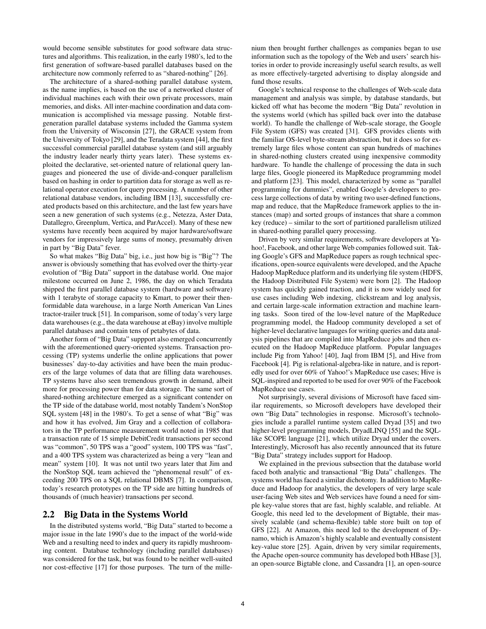would become sensible substitutes for good software data structures and algorithms. This realization, in the early 1980's, led to the first generation of software-based parallel databases based on the architecture now commonly referred to as "shared-nothing" [26].

The architecture of a shared-nothing parallel database system, as the name implies, is based on the use of a networked cluster of individual machines each with their own private processors, main memories, and disks. All inter-machine coordination and data communication is accomplished via message passing. Notable firstgeneration parallel database systems included the Gamma system from the University of Wisconsin [27], the GRACE system from the University of Tokyo [29], and the Teradata system [44], the first successful commercial parallel database system (and still arguably the industry leader nearly thirty years later). These systems exploited the declarative, set-oriented nature of relational query languages and pioneered the use of divide-and-conquer parallelism based on hashing in order to partition data for storage as well as relational operator execution for query processing. A number of other relational database vendors, including IBM [13], successfully created products based on this architecture, and the last few years have seen a new generation of such systems (e.g., Netezza, Aster Data, Datallegro, Greenplum, Vertica, and ParAccel). Many of these new systems have recently been acquired by major hardware/software vendors for impressively large sums of money, presumably driven in part by "Big Data" fever.

So what makes "Big Data" big, i.e., just how big is "Big"? The answer is obviously something that has evolved over the thirty-year evolution of "Big Data" support in the database world. One major milestone occurred on June 2, 1986, the day on which Teradata shipped the first parallel database system (hardware and software) with 1 terabyte of storage capacity to Kmart, to power their thenformidable data warehouse, in a large North American Van Lines tractor-trailer truck [51]. In comparison, some of today's very large data warehouses (e.g., the data warehouse at eBay) involve multiple parallel databases and contain tens of petabytes of data.

Another form of "Big Data" suppport also emerged concurrently with the aforementioned query-oriented systems. Transaction processing (TP) systems underlie the online applications that power businesses' day-to-day activities and have been the main producers of the large volumes of data that are filling data warehouses. TP systems have also seen tremendous growth in demand, albeit more for processing power than for data storage. The same sort of shared-nothing architecture emerged as a significant contender on the TP side of the database world, most notably Tandem's NonStop SQL system [48] in the 1980's. To get a sense of what "Big" was and how it has evolved, Jim Gray and a collection of collaborators in the TP performance measurement world noted in 1985 that a transaction rate of 15 simple DebitCredit transactions per second was "common", 50 TPS was a "good" system, 100 TPS was "fast", and a 400 TPS system was characterized as being a very "lean and mean" system [10]. It was not until two years later that Jim and the NonStop SQL team achieved the "phenomenal result" of exceeding 200 TPS on a SQL relational DBMS [7]. In comparison, today's research prototypes on the TP side are hitting hundreds of thousands of (much heavier) transactions per second.

#### 2.2 Big Data in the Systems World

In the distributed systems world, "Big Data" started to become a major issue in the late 1990's due to the impact of the world-wide Web and a resulting need to index and query its rapidly mushrooming content. Database technology (including parallel databases) was considered for the task, but was found to be neither well-suited nor cost-effective [17] for those purposes. The turn of the millenium then brought further challenges as companies began to use information such as the topology of the Web and users' search histories in order to provide increasingly useful search results, as well as more effectively-targeted advertising to display alongside and fund those results.

Google's technical response to the challenges of Web-scale data management and analysis was simple, by database standards, but kicked off what has become the modern "Big Data" revolution in the systems world (which has spilled back over into the database world). To handle the challenge of Web-scale storage, the Google File System (GFS) was created [31]. GFS provides clients with the familiar OS-level byte-stream abstraction, but it does so for extremely large files whose content can span hundreds of machines in shared-nothing clusters created using inexpensive commodity hardware. To handle the challenge of processing the data in such large files, Google pioneered its MapReduce programming model and platform [23]. This model, characterized by some as "parallel programming for dummies", enabled Google's developers to process large collections of data by writing two user-defined functions, map and reduce, that the MapReduce framework applies to the instances (map) and sorted groups of instances that share a common key (reduce) – similar to the sort of partitioned parallelism utilized in shared-nothing parallel query processing.

Driven by very similar requirements, software developers at Yahoo!, Facebook, and other large Web companies followed suit. Taking Google's GFS and MapReduce papers as rough technical specifications, open-source equivalents were developed, and the Apache Hadoop MapReduce platform and its underlying file system (HDFS, the Hadoop Distributed File System) were born [2]. The Hadoop system has quickly gained traction, and it is now widely used for use cases including Web indexing, clickstream and log analysis, and certain large-scale information extraction and machine learning tasks. Soon tired of the low-level nature of the MapReduce programming model, the Hadoop community developed a set of higher-level declarative languages for writing queries and data analysis pipelines that are compiled into MapReduce jobs and then executed on the Hadoop MapReduce platform. Popular languages include Pig from Yahoo! [40], Jaql from IBM [5], and Hive from Facebook [4]. Pig is relational-algebra-like in nature, and is reportedly used for over 60% of Yahoo!'s MapReduce use cases; Hive is SQL-inspired and reported to be used for over 90% of the Facebook MapReduce use cases.

Not surprisingly, several divisions of Microsoft have faced similar requirements, so Microsoft developers have developed their own "Big Data" technologies in response. Microsoft's technologies include a parallel runtime system called Dryad [35] and two higher-level programming models, DryadLINQ [55] and the SQLlike SCOPE language [21], which utilize Dryad under the covers. Interestingly, Microsoft has also recently announced that its future "Big Data" strategy includes support for Hadoop.

We explained in the previous subsection that the database world faced both analytic and transactional "Big Data" challenges. The systems world has faced a similar dichotomy. In addition to MapReduce and Hadoop for analytics, the developers of very large scale user-facing Web sites and Web services have found a need for simple key-value stores that are fast, highly scalable, and reliable. At Google, this need led to the development of Bigtable, their massively scalable (and schema-flexible) table store built on top of GFS [22]. At Amazon, this need led to the development of Dynamo, which is Amazon's highly scalable and eventually consistent key-value store [25]. Again, driven by very similar requirements, the Apache open-source community has developed both HBase [3], an open-source Bigtable clone, and Cassandra [1], an open-source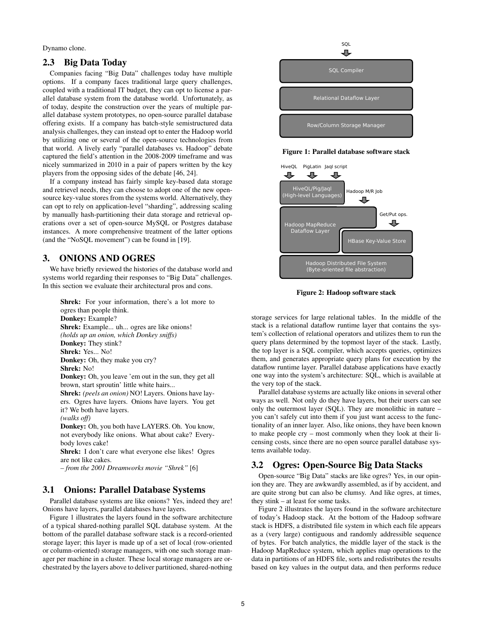Dynamo clone.

## 2.3 Big Data Today

Companies facing "Big Data" challenges today have multiple options. If a company faces traditional large query challenges, coupled with a traditional IT budget, they can opt to license a parallel database system from the database world. Unfortunately, as of today, despite the construction over the years of multiple parallel database system prototypes, no open-source parallel database offering exists. If a company has batch-style semistructured data analysis challenges, they can instead opt to enter the Hadoop world by utilizing one or several of the open-source technologies from that world. A lively early "parallel databases vs. Hadoop" debate captured the field's attention in the 2008-2009 timeframe and was nicely summarized in 2010 in a pair of papers written by the key players from the opposing sides of the debate [46, 24].

If a company instead has fairly simple key-based data storage and retrievel needs, they can choose to adopt one of the new opensource key-value stores from the systems world. Alternatively, they can opt to rely on application-level "sharding", addressing scaling by manually hash-partitioning their data storage and retrieval operations over a set of open-source MySQL or Postgres database instances. A more comprehensive treatment of the latter options (and the "NoSQL movement") can be found in [19].

# 3. ONIONS AND OGRES

We have briefly reviewed the histories of the database world and systems world regarding their responses to "Big Data" challenges. In this section we evaluate their architectural pros and cons.

Shrek: For your information, there's a lot more to ogres than people think. Donkey: Example? Shrek: Example... uh... ogres are like onions! *(holds up an onion, which Donkey sniffs)* Donkey: They stink? Shrek: Yes... No! Donkey: Oh, they make you cry? Shrek: No! Donkey: Oh, you leave 'em out in the sun, they get all brown, start sproutin' little white hairs... Shrek: *(peels an onion)* NO! Layers. Onions have layers. Ogres have layers. Onions have layers. You get it? We both have layers. *(walks off)* Donkey: Oh, you both have LAYERS. Oh. You know, not everybody like onions. What about cake? Everybody loves cake! Shrek: I don't care what everyone else likes! Ogres are not like cakes.

*– from the 2001 Dreamworks movie "Shrek"* [6]

## 3.1 Onions: Parallel Database Systems

Parallel database systems are like onions? Yes, indeed they are! Onions have layers, parallel databases have layers.

Figure 1 illustrates the layers found in the software architecture of a typical shared-nothing parallel SQL database system. At the bottom of the parallel database software stack is a record-oriented storage layer; this layer is made up of a set of local (row-oriented or column-oriented) storage managers, with one such storage manager per machine in a cluster. These local storage managers are orchestrated by the layers above to deliver partitioned, shared-nothing



Figure 1: Parallel database software stack



Figure 2: Hadoop software stack

storage services for large relational tables. In the middle of the stack is a relational dataflow runtime layer that contains the system's collection of relational operators and utilizes them to run the query plans determined by the topmost layer of the stack. Lastly, the top layer is a SQL compiler, which accepts queries, optimizes them, and generates appropriate query plans for execution by the dataflow runtime layer. Parallel database applications have exactly one way into the system's architecture: SQL, which is available at the very top of the stack.

Parallel database systems are actually like onions in several other ways as well. Not only do they have layers, but their users can see only the outermost layer (SQL). They are monolithic in nature – you can't safely cut into them if you just want access to the functionality of an inner layer. Also, like onions, they have been known to make people cry – most commonly when they look at their licensing costs, since there are no open source parallel database systems available today.

#### 3.2 Ogres: Open-Source Big Data Stacks

Open-source "Big Data" stacks are like ogres? Yes, in our opinion they are. They are awkwardly assembled, as if by accident, and are quite strong but can also be clumsy. And like ogres, at times, they stink – at least for some tasks.

Figure 2 illustrates the layers found in the software architecture of today's Hadoop stack. At the bottom of the Hadoop software stack is HDFS, a distributed file system in which each file appears as a (very large) contiguous and randomly addressible sequence of bytes. For batch analytics, the middle layer of the stack is the Hadoop MapReduce system, which applies map operations to the data in partitions of an HDFS file, sorts and redistributes the results based on key values in the output data, and then performs reduce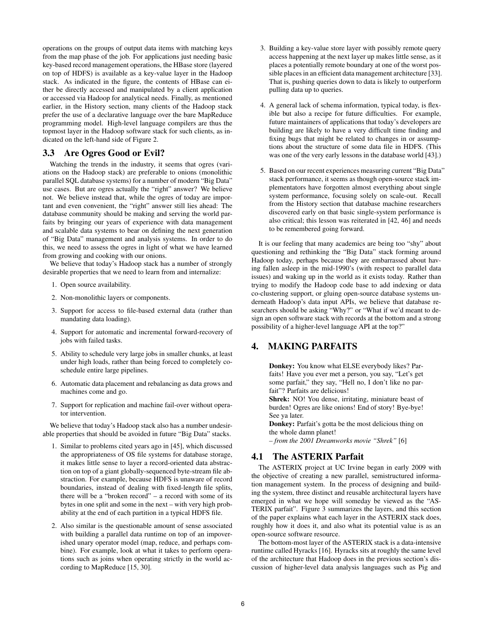operations on the groups of output data items with matching keys from the map phase of the job. For applications just needing basic key-based record management operations, the HBase store (layered on top of HDFS) is available as a key-value layer in the Hadoop stack. As indicated in the figure, the contents of HBase can either be directly accessed and manipulated by a client application or accessed via Hadoop for analytical needs. Finally, as mentioned earlier, in the History section, many clients of the Hadoop stack prefer the use of a declarative language over the bare MapReduce programming model. High-level language compilers are thus the topmost layer in the Hadoop software stack for such clients, as indicated on the left-hand side of Figure 2.

## 3.3 Are Ogres Good or Evil?

Watching the trends in the industry, it seems that ogres (variations on the Hadoop stack) are preferable to onions (monolithic parallel SQL database systems) for a number of modern "Big Data" use cases. But are ogres actually the "right" answer? We believe not. We believe instead that, while the ogres of today are important and even convenient, the "right" answer still lies ahead: The database community should be making and serving the world parfaits by bringing our years of experience with data management and scalable data systems to bear on defining the next generation of "Big Data" management and analysis systems. In order to do this, we need to assess the ogres in light of what we have learned from growing and cooking with our onions.

We believe that today's Hadoop stack has a number of strongly desirable properties that we need to learn from and internalize:

- 1. Open source availability.
- 2. Non-monolithic layers or components.
- 3. Support for access to file-based external data (rather than mandating data loading).
- 4. Support for automatic and incremental forward-recovery of jobs with failed tasks.
- 5. Ability to schedule very large jobs in smaller chunks, at least under high loads, rather than being forced to completely coschedule entire large pipelines.
- 6. Automatic data placement and rebalancing as data grows and machines come and go.
- 7. Support for replication and machine fail-over without operator intervention.

We believe that today's Hadoop stack also has a number undesirable properties that should be avoided in future "Big Data" stacks.

- 1. Similar to problems cited years ago in [45], which discussed the appropriateness of OS file systems for database storage, it makes little sense to layer a record-oriented data abstraction on top of a giant globally-sequenced byte-stream file abstraction. For example, because HDFS is unaware of record boundaries, instead of dealing with fixed-length file splits, there will be a "broken record" – a record with some of its bytes in one split and some in the next – with very high probability at the end of each partition in a typical HDFS file.
- 2. Also similar is the questionable amount of sense associated with building a parallel data runtime on top of an impoverished unary operator model (map, reduce, and perhaps combine). For example, look at what it takes to perform operations such as joins when operating strictly in the world according to MapReduce [15, 30].
- 3. Building a key-value store layer with possibly remote query access happening at the next layer up makes little sense, as it places a potentially remote boundary at one of the worst possible places in an efficient data management architecture [33]. That is, pushing queries down to data is likely to outperform pulling data up to queries.
- 4. A general lack of schema information, typical today, is flexible but also a recipe for future difficulties. For example, future maintainers of applications that today's developers are building are likely to have a very difficult time finding and fixing bugs that might be related to changes in or assumptions about the structure of some data file in HDFS. (This was one of the very early lessons in the database world [43].)
- 5. Based on our recent experiences measuring current "Big Data" stack performance, it seems as though open-source stack implementators have forgotten almost everything about single system performance, focusing solely on scale-out. Recall from the History section that database machine researchers discovered early on that basic single-system performance is also critical; this lesson was reiterated in [42, 46] and needs to be remembered going forward.

It is our feeling that many academics are being too "shy" about questioning and rethinking the "Big Data" stack forming around Hadoop today, perhaps because they are embarrassed about having fallen asleep in the mid-1990's (with respect to parallel data issues) and waking up in the world as it exists today. Rather than trying to modify the Hadoop code base to add indexing or data co-clustering support, or gluing open-source database systems underneath Hadoop's data input APIs, we believe that database researchers should be asking "Why?" or "What if we'd meant to design an open software stack with records at the bottom and a strong possibility of a higher-level language API at the top?"

# 4. MAKING PARFAITS

Donkey: You know what ELSE everybody likes? Parfaits! Have you ever met a person, you say, "Let's get some parfait," they say, "Hell no, I don't like no parfait"? Parfaits are delicious!

Shrek: NO! You dense, irritating, miniature beast of burden! Ogres are like onions! End of story! Bye-bye! See ya later.

Donkey: Parfait's gotta be the most delicious thing on the whole damn planet!

*– from the 2001 Dreamworks movie "Shrek"* [6]

# 4.1 The ASTERIX Parfait

The ASTERIX project at UC Irvine began in early 2009 with the objective of creating a new parallel, semistructured information management system. In the process of designing and building the system, three distinct and reusable architectural layers have emerged in what we hope will someday be viewed as the "AS-TERIX parfait". Figure 3 summarizes the layers, and this section of the paper explains what each layer in the ASTERIX stack does, roughly how it does it, and also what its potential value is as an open-source software resource.

The bottom-most layer of the ASTERIX stack is a data-intensive runtime called Hyracks [16]. Hyracks sits at roughly the same level of the architecture that Hadoop does in the previous section's discussion of higher-level data analysis languages such as Pig and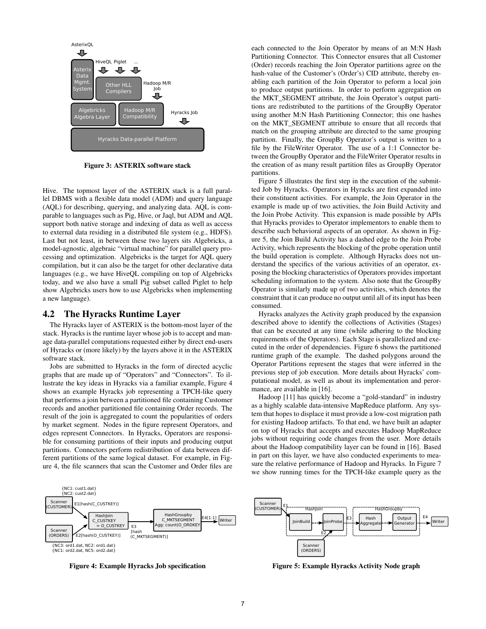

Figure 3: ASTERIX software stack

Hive. The topmost layer of the ASTERIX stack is a full parallel DBMS with a flexible data model (ADM) and query language (AQL) for describing, querying, and analyzing data. AQL is comparable to languages such as Pig, Hive, or Jaql, but ADM and AQL support both native storage and indexing of data as well as access to external data residing in a distributed file system (e.g., HDFS). Last but not least, in between these two layers sits Algebricks, a model-agnostic, algebraic "virtual machine" for parallel query processing and optimization. Algebricks is the target for AQL query compilation, but it can also be the target for other declarative data languages (e.g., we have HiveQL compiling on top of Algebricks today, and we also have a small Pig subset called Piglet to help show Algebricks users how to use Algebricks when implementing a new language).

## 4.2 The Hyracks Runtime Layer

The Hyracks layer of ASTERIX is the bottom-most layer of the stack. Hyracks is the runtime layer whose job is to accept and manage data-parallel computations requested either by direct end-users of Hyracks or (more likely) by the layers above it in the ASTERIX software stack.

Jobs are submitted to Hyracks in the form of directed acyclic graphs that are made up of "Operators" and "Connectors". To illustrate the key ideas in Hyracks via a familiar example, Figure 4 shows an example Hyracks job representing a TPCH-like query that performs a join between a partitioned file containing Customer records and another partitioned file containing Order records. The result of the join is aggregated to count the popularities of orders by market segment. Nodes in the figure represent Operators, and edges represent Connectors. In Hyracks, Operators are responsible for consuming partitions of their inputs and producing output partitions. Connectors perform redistribution of data between different partitions of the same logical dataset. For example, in Figure 4, the file scanners that scan the Customer and Order files are



Figure 4: Example Hyracks Job specification

each connected to the Join Operator by means of an M:N Hash Partitioning Connector. This Connector ensures that all Customer (Order) records reaching the Join Operator partitions agree on the hash-value of the Customer's (Order's) CID attribute, thereby enabling each partition of the Join Operator to peform a local join to produce output partitions. In order to perform aggregation on the MKT\_SEGMENT attribute, the Join Operator's output partitions are redistributed to the partitions of the GroupBy Operator using another M:N Hash Partitioning Connector; this one hashes on the MKT\_SEGMENT attribute to ensure that all records that match on the grouping attribute are directed to the same grouping partition. Finally, the GroupBy Operator's output is written to a file by the FileWriter Operator. The use of a 1:1 Connector between the GroupBy Operator and the FileWriter Operator results in the creation of as many result partition files as GroupBy Operator partitions.

Figure 5 illustrates the first step in the execution of the submitted Job by Hyracks. Operators in Hyracks are first expanded into their constituent activities. For example, the Join Operator in the example is made up of two activities, the Join Build Activity and the Join Probe Activity. This expansion is made possible by APIs that Hyracks provides to Operator implementors to enable them to describe such behavioral aspects of an operator. As shown in Figure 5, the Join Build Activity has a dashed edge to the Join Probe Activity, which represents the blocking of the probe operation until the build operation is complete. Although Hyracks does not understand the specifics of the various activities of an operator, exposing the blocking characteristics of Operators provides important scheduling information to the system. Also note that the GroupBy Operator is similarly made up of two activities, which denotes the constraint that it can produce no output until all of its input has been consumed.

Hyracks analyzes the Activity graph produced by the expansion described above to identify the collections of Activities (Stages) that can be executed at any time (while adhering to the blocking requirements of the Operators). Each Stage is parallelized and executed in the order of dependencies. Figure 6 shows the partitioned runtime graph of the example. The dashed polygons around the Operator Partitions represent the stages that were inferred in the previous step of job execution. More details about Hyracks' computational model, as well as about its implementation and perormance, are available in [16].

Hadoop [11] has quickly become a "gold-standard" in industry as a highly scalable data-intensive MapReduce platform. Any system that hopes to displace it must provide a low-cost migration path for existing Hadoop artifacts. To that end, we have built an adapter on top of Hyracks that accepts and executes Hadoop MapReduce jobs without requiring code changes from the user. More details about the Hadoop compatibility layer can be found in [16]. Based in part on this layer, we have also conducted experiments to measure the relative performance of Hadoop and Hyracks. In Figure 7 we show running times for the TPCH-like example query as the



Figure 5: Example Hyracks Activity Node graph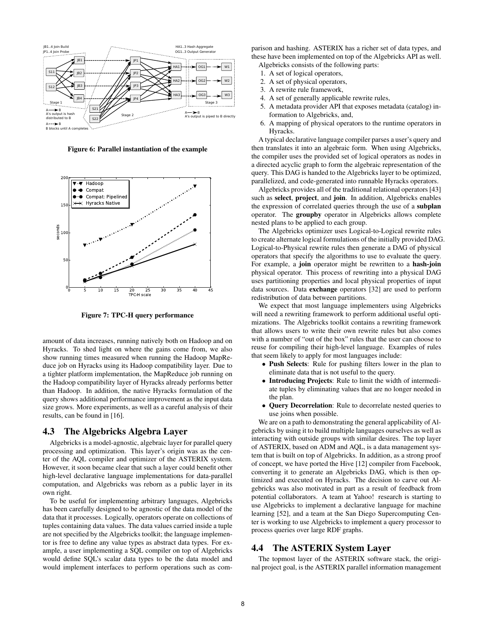

Figure 6: Parallel instantiation of the example



Figure 7: TPC-H query performance

amount of data increases, running natively both on Hadoop and on Hyracks. To shed light on where the gains come from, we also show running times measured when running the Hadoop MapReduce job on Hyracks using its Hadoop compatibility layer. Due to a tighter platform implementation, the MapReduce job running on the Hadoop compatibility layer of Hyracks already performs better than Hadoop. In addition, the native Hyracks formulation of the query shows additional performance improvement as the input data size grows. More experiments, as well as a careful analysis of their results, can be found in [16].

### 4.3 The Algebricks Algebra Layer

Algebricks is a model-agnostic, algebraic layer for parallel query processing and optimization. This layer's origin was as the center of the AQL compiler and optimizer of the ASTERIX system. However, it soon became clear that such a layer could benefit other high-level declarative language implementations for data-parallel computation, and Algebricks was reborn as a public layer in its own right.

To be useful for implementing arbitrary languages, Algebricks has been carefully designed to be agnostic of the data model of the data that it processes. Logically, operators operate on collections of tuples containing data values. The data values carried inside a tuple are not specified by the Algebricks toolkit; the language implementor is free to define any value types as abstract data types. For example, a user implementing a SQL compiler on top of Algebricks would define SQL's scalar data types to be the data model and would implement interfaces to perform operations such as comparison and hashing. ASTERIX has a richer set of data types, and these have been implemented on top of the Algebricks API as well. Algebricks consists of the following parts:

- 1. A set of logical operators,
- 2. A set of physical operators,
- 3. A rewrite rule framework,
- 4. A set of generally applicable rewrite rules,
- 5. A metadata provider API that exposes metadata (catalog) information to Algebricks, and,
- 6. A mapping of physical operators to the runtime operators in Hyracks.

A typical declarative language compiler parses a user's query and then translates it into an algebraic form. When using Algebricks, the compiler uses the provided set of logical operators as nodes in a directed acyclic graph to form the algebraic representation of the query. This DAG is handed to the Algebricks layer to be optimized, parallelized, and code-generated into runnable Hyracks operators.

Algebricks provides all of the traditional relational operators [43] such as select, project, and join. In addition, Algebricks enables the expression of correlated queries through the use of a subplan operator. The groupby operator in Algebricks allows complete nested plans to be applied to each group.

The Algebricks optimizer uses Logical-to-Logical rewrite rules to create alternate logical formulations of the initially provided DAG. Logical-to-Physical rewrite rules then generate a DAG of physical operators that specify the algorithms to use to evaluate the query. For example, a join operator might be rewritten to a hash-join physical operator. This process of rewriting into a physical DAG uses partitioning properties and local physical properties of input data sources. Data exchange operators [32] are used to perform redistribution of data between partitions.

We expect that most language implementers using Algebricks will need a rewriting framework to perform additional useful optimizations. The Algebricks toolkit contains a rewriting framework that allows users to write their own rewrite rules but also comes with a number of "out of the box" rules that the user can choose to reuse for compiling their high-level language. Examples of rules that seem likely to apply for most languages include:

- Push Selects: Rule for pushing filters lower in the plan to eliminate data that is not useful to the query.
- Introducing Projects: Rule to limit the width of intermediate tuples by eliminating values that are no longer needed in the plan.
- Query Decorrelation: Rule to decorrelate nested queries to use joins when possible.

We are on a path to demonstrating the general applicability of Algebricks by using it to build multiple languages ourselves as well as interacting with outside groups with similar desires. The top layer of ASTERIX, based on ADM and AQL, is a data management system that is built on top of Algebricks. In addition, as a strong proof of concept, we have ported the Hive [12] compiler from Facebook, converting it to generate an Algebricks DAG, which is then optimized and executed on Hyracks. The decision to carve out Algebricks was also motivated in part as a result of feedback from potential collaborators. A team at Yahoo! research is starting to use Algebricks to implement a declarative language for machine learning [52], and a team at the San Diego Supercomputing Center is working to use Algebricks to implement a query processor to process queries over large RDF graphs.

# 4.4 The ASTERIX System Layer

The topmost layer of the ASTERIX software stack, the original project goal, is the ASTERIX parallel information management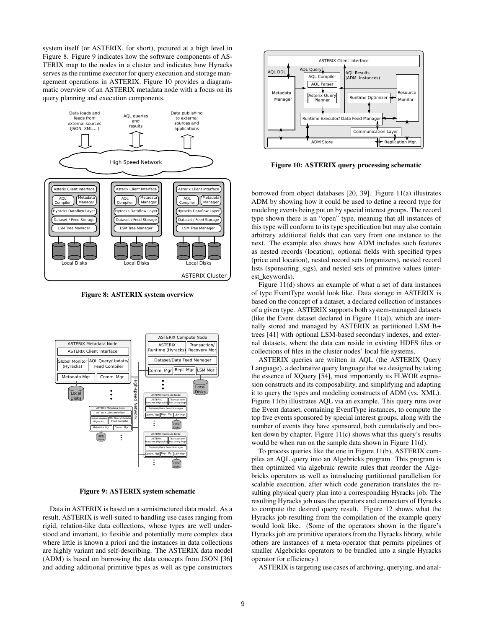system itself (or ASTERIX, for short), pictured at a high level in Figure 8. Figure 9 indicates how the software components of AS-TERIX map to the nodes in a cluster and indicates how Hyracks serves as the runtime executor for query execution and storage management operations in ASTERIX. Figure 10 provides a diagrammatic overview of an ASTERIX metadata node with a focus on its query planning and execution components.



Figure 8: ASTERIX system overview



Figure 9: ASTERIX system schematic

Data in ASTERIX is based on a semistructured data model. As a result, ASTERIX is well-suited to handling use cases ranging from rigid, relation-like data collections, whose types are well understood and invariant, to flexible and potentially more complex data where little is known a priori and the instances in data collections are highly variant and self-describing. The ASTERIX data model (ADM) is based on borrowing the data concepts from JSON [36] and adding additional primitive types as well as type constructors



Figure 10: ASTERIX query processing schematic

borrowed from object databases [20, 39]. Figure 11(a) illustrates ADM by showing how it could be used to define a record type for modeling events being put on by special interest groups. The record type shown there is an "open" type, meaning that all instances of this type will conform to its type specification but may also contain arbitrary additional fields that can vary from one instance to the next. The example also shows how ADM includes such features as nested records (location), optional fields with specified types (price and location), nested record sets (organizers), nested record lists (sponsoring sigs), and nested sets of primitive values (interest\_keywords).

Figure 11(d) shows an example of what a set of data instances of type EventType would look like. Data storage in ASTERIX is based on the concept of a dataset, a declared collection of instances of a given type. ASTERIX supports both system-managed datasets (like the Event dataset declared in Figure  $11(a)$ ), which are internally stored and managed by ASTERIX as partitioned LSM B+ trees [41] with optional LSM-based secondary indexes, and external datasets, where the data can reside in existing HDFS files or collections of files in the cluster nodes' local file systems.

ASTERIX queries are written in AQL (the ASTERIX Query Language), a declarative query language that we designed by taking the essence of XQuery [54], most importantly its FLWOR expression constructs and its composability, and simplifying and adapting it to query the types and modeling constructs of ADM (vs. XML). Figure 11(b) illustrates AQL via an example. This query runs over the Event dataset, containing EventType instances, to compute the top five events sponsored by special interest groups, along with the number of events they have sponsored, both cumulatively and broken down by chapter. Figure 11(c) shows what this query's results would be when run on the sample data shown in Figure 11(d).

To process queries like the one in Figure 11(b), ASTERIX compiles an AQL query into an Algebricks program. This program is then optimized via algebraic rewrite rules that reorder the Algebricks operators as well as introducing partitioned parallelism for scalable execution, after which code generation translates the resulting physical query plan into a corresponding Hyracks job. The resulting Hyracks job uses the operators and connectors of Hyracks to compute the desired query result. Figure 12 shows what the Hyracks job resulting from the compilation of the example query would look like. (Some of the operators shown in the figure's Hyracks job are primitive operators from the Hyracks library, while others are instances of a meta-operator that permits pipelines of smaller Algebricks operators to be bundled into a single Hyracks operator for efficiency.)

ASTERIX is targeting use cases of archiving, querying, and anal-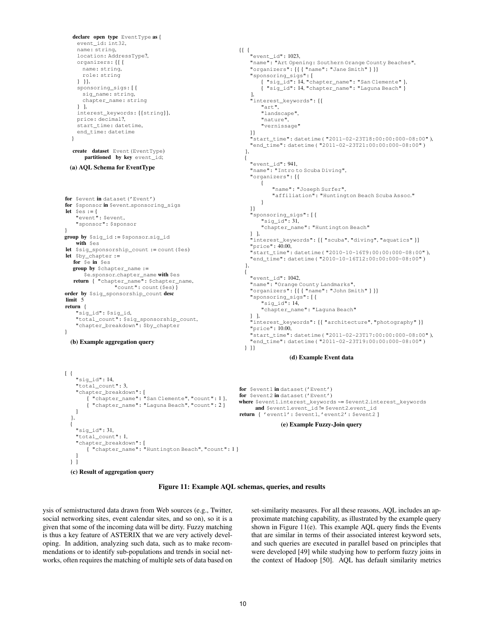```
declare open type EventType as {
    event_id: int32,
    name: string,
    location: AddressType?,
    organizers: {{ {
      name: string,
      role: string
    } }},
    sponsoring_sigs: [ {
      sig_name: string,
      chapter_name: string
    } ],
    interest_keywords: {{string}},
    price: decimal?,
    start_time: datetime.
    end_time: datetime
  }
   create dataset Event(EventType)
       partitioned by key event_id;
  (a) AQL Schema for EventType
for $event in dataset ('Event')
for $sponsor in $event.sponsoring_sigs
let §es := \{"event": $event,
    "sponsor": $sponsor
}
group by $sig_id := $sponsor.sig_id
    with $es
let $sig_sponsorship_count := count($es)
let $by_chapter :=
   for Se in Ses
   group by $chapter_name :=
       se.sponsor.chapter_name with $es
   return { "chapter_name": $chapter_name,
                 "count": count ($es) }
order by $sig_sponsorship_count desc
limit 5
return {
   "sig_id": $sig_id,
    "total_count": $sig_sponsorship_count,
"chapter_breakdown": $by_chapter
}
  (b) Example aggregation query
[ {
"sig_id": 14,
    "total_count": 3,
    "chapter_breakdown": [
{ "chapter_name": "San Clemente", "count": 1 },
       { "chapter_name": "Laguna Beach", "count": 2 }
   ]
  },
  {
   "sig_id": 31,
    "total_count": 1,
    "chapter_breakdown": [
{ "chapter_name": "Huntington Beach", "count": 1 }
                                                            {{ {
                                                                 "event_id": 1023,
                                                                "name": "Art Opening: Southern Orange County Beaches",
                                                                "organizers": {{ { "name": "Jane Smith" } }}
                                                                "sponsoring_sigs": [
                                                                      { "sig_id": 14, "chapter_name": "San Clemente" },
                                                                    { "sig_id": 14, "chapter_name": "Laguna Beach" }
                                                                 ],
"interest_keywords": {{
                                                                    "art",
                                                                    "landscape",
                                                                    "nature",
                                                                    "vernissage"
                                                                }}
                                                                 "start_time": datetime( "2011-02-23T18:00:00:000-08:00" ),
                                                                "end_time": datetime( "2011-02-23T21:00:00:000-08:00" )
                                                               },
                                                              {
                                                                "event_id": 941,
                                                                "name": "Intro to Scuba Diving",
                                                                "organizers": {{
                                                                     {
                                                                        "name": "Joseph Surfer",
                                                                        "affiliation": "Huntington Beach Scuba Assoc."
                                                                    }
                                                                }}
                                                                 "sponsoring_sigs": [ {
                                                                    "sig_id": 31,
                                                                    "chapter_name": "Huntington Beach"
                                                                \} \perp"interest_keywords": {{ "scuba", "diving", "aquatics" }}
                                                                 "price": 40.00,
                                                                 "start_time": datetime( "2010-10-16T9:00:00:000-08:00" ),
                                                                "end_time": datetime( "2010-10-16T12:00:00:000-08:00" )
                                                               },
                                                              {
                                                                 "event_id": 1042,
"name": "Orange County Landmarks",
                                                                "organizers": {{ { "name": "John Smith" } }}
                                                                 "sponsoring_sigs": [ {
                                                                     "sig_id": 14,
                                                                    "chapter_name": "Laguna Beach"
                                                                \} ].
                                                                 "interest_keywords": {{ "architecture", "photography" }}
                                                                "price": 10.00,
                                                                 "start_time": datetime( "2011-02-23T17:00:00:000-08:00" ),
                                                                "end_time": datetime( "2011-02-23T19:00:00:000-08:00" )
                                                               } }}
                                                                              (d) Example Event data
                                                             for $event1 in dataset ('Event')
                                                             for $event2 in dataset ('Event')
                                                             where $event1.interest_keywords ~= $event2.interest_keywords
                                                                  and $event1.event_id != $event2.event_id
                                                             return { 'event1': $event1, 'event2': $event2 }
                                                                           (e) Example Fuzzy-Join query
```

```
(c) Result of aggregation query
```
] } ]



ysis of semistructured data drawn from Web sources (e.g., Twitter, social networking sites, event calendar sites, and so on), so it is a given that some of the incoming data will be dirty. Fuzzy matching is thus a key feature of ASTERIX that we are very actively developing. In addition, analyzing such data, such as to make recommendations or to identify sub-populations and trends in social networks, often requires the matching of multiple sets of data based on

set-similarity measures. For all these reasons, AQL includes an approximate matching capability, as illustrated by the example query shown in Figure 11(e). This example AQL query finds the Events that are similar in terms of their associated interest keyword sets, and such queries are executed in parallel based on principles that were developed [49] while studying how to perform fuzzy joins in the context of Hadoop [50]. AQL has default similarity metrics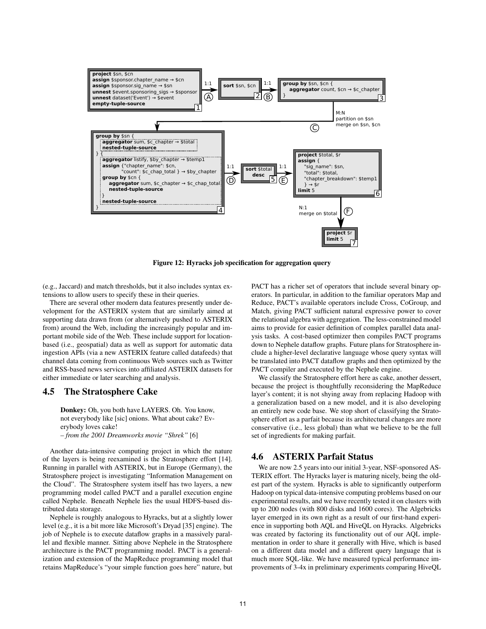

Figure 12: Hyracks job specification for aggregation query

(e.g., Jaccard) and match thresholds, but it also includes syntax extensions to allow users to specify these in their queries.

There are several other modern data features presently under development for the ASTERIX system that are similarly aimed at supporting data drawn from (or alternatively pushed to ASTERIX from) around the Web, including the increasingly popular and important mobile side of the Web. These include support for locationbased (i.e., geospatial) data as well as support for automatic data ingestion APIs (via a new ASTERIX feature called datafeeds) that channel data coming from continuous Web sources such as Twitter and RSS-based news services into affiliated ASTERIX datasets for either immediate or later searching and analysis.

## 4.5 The Stratosphere Cake

Donkey: Oh, you both have LAYERS. Oh. You know, not everybody like [sic] onions. What about cake? Everybody loves cake! *– from the 2001 Dreamworks movie "Shrek"* [6]

Another data-intensive computing project in which the nature of the layers is being reexamined is the Stratosphere effort [14]. Running in parallel with ASTERIX, but in Europe (Germany), the Stratosphere project is investigating "Information Management on the Cloud". The Stratosphere system itself has two layers, a new programming model called PACT and a parallel execution engine called Nephele. Beneath Nephele lies the usual HDFS-based distributed data storage.

Nephele is roughly analogous to Hyracks, but at a slightly lower level (e.g., it is a bit more like Microsoft's Dryad [35] engine). The job of Nephele is to execute dataflow graphs in a massively parallel and flexible manner. Sitting above Nephele in the Stratosphere architecture is the PACT programming model. PACT is a generalization and extension of the MapReduce programming model that retains MapReduce's "your simple function goes here" nature, but PACT has a richer set of operators that include several binary operators. In particular, in addition to the familiar operators Map and Reduce, PACT's available operators include Cross, CoGroup, and Match, giving PACT sufficient natural expressive power to cover the relational algebra with aggregation. The less-constrained model aims to provide for easier definition of complex parallel data analysis tasks. A cost-based optimizer then compiles PACT programs down to Nephele dataflow graphs. Future plans for Stratosphere include a higher-level declarative language whose query syntax will be translated into PACT dataflow graphs and then optimized by the PACT compiler and executed by the Nephele engine.

We classify the Stratosphere effort here as cake, another dessert, because the project is thoughtfully reconsidering the MapReduce layer's content; it is not shying away from replacing Hadoop with a generalization based on a new model, and it is also developing an entirely new code base. We stop short of classifying the Stratosphere effort as a parfait because its architectural changes are more conservative (i.e., less global) than what we believe to be the full set of ingredients for making parfait.

#### 4.6 ASTERIX Parfait Status

We are now 2.5 years into our initial 3-year, NSF-sponsored AS-TERIX effort. The Hyracks layer is maturing nicely, being the oldest part of the system. Hyracks is able to significantly outperform Hadoop on typical data-intensive computing problems based on our experimental results, and we have recently tested it on clusters with up to 200 nodes (with 800 disks and 1600 cores). The Algebricks layer emerged in its own right as a result of our first-hand experience in supporting both AQL and HiveQL on Hyracks. Algebricks was created by factoring its functionality out of our AQL implementation in order to share it generally with Hive, which is based on a different data model and a different query language that is much more SQL-like. We have measured typical performance improvements of 3-4x in preliminary experiments comparing HiveQL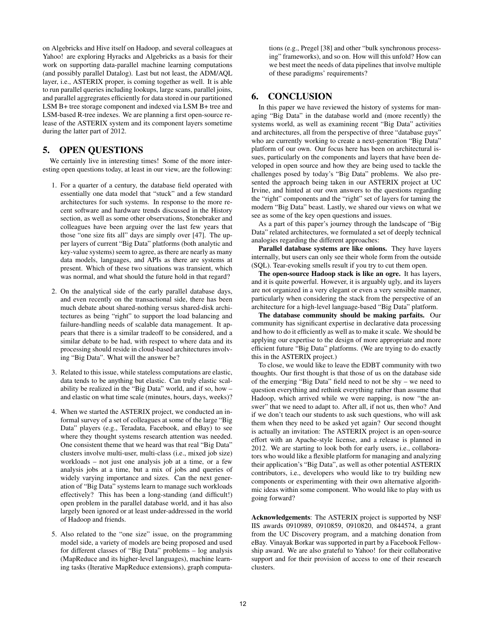on Algebricks and Hive itself on Hadoop, and several colleagues at Yahoo! are exploring Hyracks and Algebricks as a basis for their work on supporting data-parallel machine learning computations (and possibly parallel Datalog). Last but not least, the ADM/AQL layer, i.e., ASTERIX proper, is coming together as well. It is able to run parallel queries including lookups, large scans, parallel joins, and parallel aggregrates efficiently for data stored in our partitioned LSM B+ tree storage component and indexed via LSM B+ tree and LSM-based R-tree indexes. We are planning a first open-source release of the ASTERIX system and its component layers sometime during the latter part of 2012.

# 5. OPEN QUESTIONS

We certainly live in interesting times! Some of the more interesting open questions today, at least in our view, are the following:

- 1. For a quarter of a century, the database field operated with essentially one data model that "stuck" and a few standard architectures for such systems. In response to the more recent software and hardware trends discussed in the History section, as well as some other observations, Stonebraker and colleagues have been arguing over the last few years that those "one size fits all" days are simply over [47]. The upper layers of current "Big Data" platforms (both analytic and key-value systems) seem to agree, as there are nearly as many data models, languages, and APIs as there are systems at present. Which of these two situations was transient, which was normal, and what should the future hold in that regard?
- 2. On the analytical side of the early parallel database days, and even recently on the transactional side, there has been much debate about shared-nothing versus shared-disk architectures as being "right" to support the load balancing and failure-handling needs of scalable data management. It appears that there is a similar tradeoff to be considered, and a similar debate to be had, with respect to where data and its processing should reside in cloud-based architectures involving "Big Data". What will the answer be?
- 3. Related to this issue, while stateless computations are elastic, data tends to be anything but elastic. Can truly elastic scalability be realized in the "Big Data" world, and if so, how – and elastic on what time scale (minutes, hours, days, weeks)?
- 4. When we started the ASTERIX project, we conducted an informal survey of a set of colleagues at some of the large "Big Data" players (e.g., Teradata, Facebook, and eBay) to see where they thought systems research attention was needed. One consistent theme that we heard was that real "Big Data" clusters involve multi-user, multi-class (i.e., mixed job size) workloads – not just one analysis job at a time, or a few analysis jobs at a time, but a mix of jobs and queries of widely varying importance and sizes. Can the next generation of "Big Data" systems learn to manage such workloads effectively? This has been a long-standing (and difficult!) open problem in the parallel database world, and it has also largely been ignored or at least under-addressed in the world of Hadoop and friends.
- 5. Also related to the "one size" issue, on the programming model side, a variety of models are being proposed and used for different classes of "Big Data" problems – log analysis (MapReduce and its higher-level languages), machine learning tasks (Iterative MapReduce extensions), graph computa-

tions (e.g., Pregel [38] and other "bulk synchronous processing" frameworks), and so on. How will this unfold? How can we best meet the needs of data pipelines that involve multiple of these paradigms' requirements?

# 6. CONCLUSION

In this paper we have reviewed the history of systems for managing "Big Data" in the database world and (more recently) the systems world, as well as examining recent "Big Data" activities and architectures, all from the perspective of three "database guys" who are currently working to create a next-generation "Big Data" platform of our own. Our focus here has been on architectural issues, particularly on the components and layers that have been developed in open source and how they are being used to tackle the challenges posed by today's "Big Data" problems. We also presented the approach being taken in our ASTERIX project at UC Irvine, and hinted at our own answers to the questions regarding the "right" components and the "right" set of layers for taming the modern "Big Data" beast. Lastly, we shared our views on what we see as some of the key open questions and issues.

As a part of this paper's journey through the landscape of "Big Data" related architectures, we formulated a set of deeply technical analogies regarding the different approaches:

Parallel database systems are like onions. They have layers internally, but users can only see their whole form from the outside (SQL). Tear-evoking smells result if you try to cut them open.

The open-source Hadoop stack is like an ogre. It has layers, and it is quite powerful. However, it is arguably ugly, and its layers are not organized in a very elegant or even a very sensible manner, particularly when considering the stack from the perspective of an architecture for a high-level language-based "Big Data" platform.

The database community should be making parfaits. Our community has significant expertise in declarative data processing and how to do it efficiently as well as to make it scale. We should be applying our expertise to the design of more appropriate and more efficient future "Big Data" platforms. (We are trying to do exactly this in the ASTERIX project.)

To close, we would like to leave the EDBT community with two thoughts. Our first thought is that those of us on the database side of the emerging "Big Data" field need to not be shy – we need to question everything and rethink everything rather than assume that Hadoop, which arrived while we were napping, is now "the answer" that we need to adapt to. After all, if not us, then who? And if we don't teach our students to ask such questions, who will ask them when they need to be asked yet again? Our second thought is actually an invitation: The ASTERIX project is an open-source effort with an Apache-style license, and a release is planned in 2012. We are starting to look both for early users, i.e., collaborators who would like a flexible platform for managing and analyzing their application's "Big Data", as well as other potential ASTERIX contributors, i.e., developers who would like to try building new components or experimenting with their own alternative algorithmic ideas within some component. Who would like to play with us going forward?

Acknowledgements: The ASTERIX project is supported by NSF IIS awards 0910989, 0910859, 0910820, and 0844574, a grant from the UC Discovery program, and a matching donation from eBay. Vinayak Borkar was supported in part by a Facebook Fellowship award. We are also grateful to Yahoo! for their collaborative support and for their provision of access to one of their research clusters.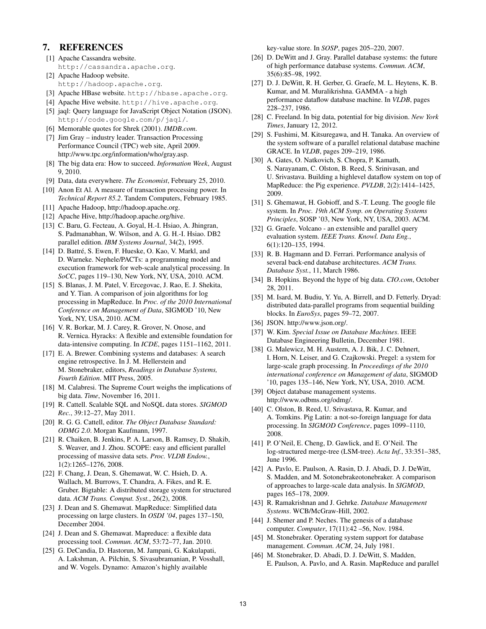# 7. REFERENCES

- [1] Apache Cassandra website. http://cassandra.apache.org. [2] Apache Hadoop website.
- http://hadoop.apache.org.
- [3] Apache HBase website. http://hbase.apache.org.
- [4] Apache Hive website. http://hive.apache.org.
- [5] jaql: Query language for JavaScript Object Notation (JSON). http://code.google.com/p/jaql/.
- [6] Memorable quotes for Shrek (2001). *IMDB.com*.
- [7] Jim Gray industry leader. Transaction Processing Performance Council (TPC) web site, April 2009. http://www.tpc.org/information/who/gray.asp.
- [8] The big data era: How to succeed. *Information Week*, August 9, 2010.
- [9] Data, data everywhere. *The Economist*, February 25, 2010.
- [10] Anon Et Al. A measure of transaction processing power. In *Technical Report 85.2*. Tandem Computers, February 1985.
- [11] Apache Hadoop, http://hadoop.apache.org.
- [12] Apache Hive, http://hadoop.apache.org/hive.
- [13] C. Baru, G. Fecteau, A. Goyal, H.-I. Hsiao, A. Jhingran, S. Padmanabhan, W. Wilson, and A. G. H.-I. Hsiao. DB2 parallel edition. *IBM Systems Journal*, 34(2), 1995.
- [14] D. Battré, S. Ewen, F. Hueske, O. Kao, V. Markl, and D. Warneke. Nephele/PACTs: a programming model and execution framework for web-scale analytical processing. In *SoCC*, pages 119–130, New York, NY, USA, 2010. ACM.
- [15] S. Blanas, J. M. Patel, V. Ercegovac, J. Rao, E. J. Shekita, and Y. Tian. A comparison of join algorithms for log processing in MapReduce. In *Proc. of the 2010 International Conference on Management of Data*, SIGMOD '10, New York, NY, USA, 2010. ACM.
- [16] V. R. Borkar, M. J. Carey, R. Grover, N. Onose, and R. Vernica. Hyracks: A flexible and extensible foundation for data-intensive computing. In *ICDE*, pages 1151–1162, 2011.
- [17] E. A. Brewer. Combining systems and databases: A search engine retrospective. In J. M. Hellerstein and M. Stonebraker, editors, *Readings in Database Systems, Fourth Edition*. MIT Press, 2005.
- [18] M. Calabresi. The Supreme Court weighs the implications of big data. *Time*, November 16, 2011.
- [19] R. Cattell. Scalable SQL and NoSQL data stores. *SIGMOD Rec.*, 39:12–27, May 2011.
- [20] R. G. G. Cattell, editor. *The Object Database Standard: ODMG 2.0*. Morgan Kaufmann, 1997.
- [21] R. Chaiken, B. Jenkins, P. A. Larson, B. Ramsey, D. Shakib, S. Weaver, and J. Zhou. SCOPE: easy and efficient parallel processing of massive data sets. *Proc. VLDB Endow.*, 1(2):1265–1276, 2008.
- [22] F. Chang, J. Dean, S. Ghemawat, W. C. Hsieh, D. A. Wallach, M. Burrows, T. Chandra, A. Fikes, and R. E. Gruber. Bigtable: A distributed storage system for structured data. *ACM Trans. Comput. Syst.*, 26(2), 2008.
- [23] J. Dean and S. Ghemawat. MapReduce: Simplified data processing on large clusters. In *OSDI '04*, pages 137–150, December 2004.
- [24] J. Dean and S. Ghemawat. Mapreduce: a flexible data processing tool. *Commun. ACM*, 53:72–77, Jan. 2010.
- [25] G. DeCandia, D. Hastorun, M. Jampani, G. Kakulapati, A. Lakshman, A. Pilchin, S. Sivasubramanian, P. Vosshall, and W. Vogels. Dynamo: Amazon's highly available

key-value store. In *SOSP*, pages 205–220, 2007.

- [26] D. DeWitt and J. Gray. Parallel database systems: the future of high performance database systems. *Commun. ACM*, 35(6):85–98, 1992.
- [27] D. J. DeWitt, R. H. Gerber, G. Graefe, M. L. Heytens, K. B. Kumar, and M. Muralikrishna. GAMMA - a high performance dataflow database machine. In *VLDB*, pages 228–237, 1986.
- [28] C. Freeland. In big data, potential for big division. *New York Times*, January 12, 2012.
- [29] S. Fushimi, M. Kitsuregawa, and H. Tanaka. An overview of the system software of a parallel relational database machine GRACE. In *VLDB*, pages 209–219, 1986.
- [30] A. Gates, O. Natkovich, S. Chopra, P. Kamath, S. Narayanam, C. Olston, B. Reed, S. Srinivasan, and U. Srivastava. Building a highlevel dataflow system on top of MapReduce: the Pig experience. *PVLDB*, 2(2):1414–1425, 2009.
- [31] S. Ghemawat, H. Gobioff, and S.-T. Leung. The google file system. In *Proc. 19th ACM Symp. on Operating Systems Principles*, SOSP '03, New York, NY, USA, 2003. ACM.
- [32] G. Graefe. Volcano an extensible and parallel query evaluation system. *IEEE Trans. Knowl. Data Eng.*, 6(1):120–135, 1994.
- [33] R. B. Hagmann and D. Ferrari. Performance analysis of several back-end database architectures. *ACM Trans. Database Syst.*, 11, March 1986.
- [34] B. Hopkins. Beyond the hype of big data. *CIO.com*, October 28, 2011.
- [35] M. Isard, M. Budiu, Y. Yu, A. Birrell, and D. Fetterly. Dryad: distributed data-parallel programs from sequential building blocks. In *EuroSys*, pages 59–72, 2007.
- [36] JSON. http://www.json.org/.
- [37] W. Kim. *Special Issue on Database Machines*. IEEE Database Engineering Bulletin, December 1981.
- [38] G. Malewicz, M. H. Austern, A. J. Bik, J. C. Dehnert, I. Horn, N. Leiser, and G. Czajkowski. Pregel: a system for large-scale graph processing. In *Proceedings of the 2010 international conference on Management of data*, SIGMOD '10, pages 135–146, New York, NY, USA, 2010. ACM.
- [39] Object database management systems. http://www.odbms.org/odmg/.
- [40] C. Olston, B. Reed, U. Srivastava, R. Kumar, and A. Tomkins. Pig Latin: a not-so-foreign language for data processing. In *SIGMOD Conference*, pages 1099–1110, 2008.
- [41] P. O'Neil, E. Cheng, D. Gawlick, and E. O'Neil. The log-structured merge-tree (LSM-tree). *Acta Inf.*, 33:351–385, June 1996.
- [42] A. Pavlo, E. Paulson, A. Rasin, D. J. Abadi, D. J. DeWitt, S. Madden, and M. Sotonebrakeotonebraker. A comparison of approaches to large-scale data analysis. In *SIGMOD*, pages 165–178, 2009.
- [43] R. Ramakrishnan and J. Gehrke. *Database Management Systems*. WCB/McGraw-Hill, 2002.
- [44] J. Shemer and P. Neches. The genesis of a database computer. *Computer*, 17(11):42 –56, Nov. 1984.
- [45] M. Stonebraker. Operating system support for database management. *Commun. ACM*, 24, July 1981.
- [46] M. Stonebraker, D. Abadi, D. J. DeWitt, S. Madden, E. Paulson, A. Pavlo, and A. Rasin. MapReduce and parallel